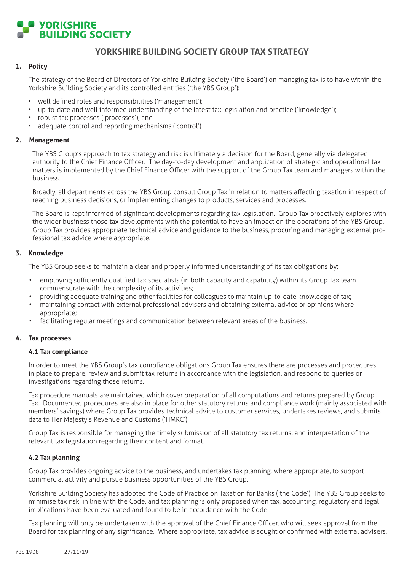

# **YORKSHIRE BUILDING SOCIETY GROUP TAX STRATEGY**

## **1. Policy**

The strategy of the Board of Directors of Yorkshire Building Society ('the Board') on managing tax is to have within the Yorkshire Building Society and its controlled entities ('the YBS Group'):

- • well defined roles and responsibilities ('management');
- up-to-date and well informed understanding of the latest tax legislation and practice ('knowledge');
- robust tax processes ('processes'); and
- adequate control and reporting mechanisms ('control').

#### **2. Management**

The YBS Group's approach to tax strategy and risk is ultimately a decision for the Board, generally via delegated authority to the Chief Finance Officer. The day-to-day development and application of strategic and operational tax matters is implemented by the Chief Finance Officer with the support of the Group Tax team and managers within the business.

 Broadly, all departments across the YBS Group consult Group Tax in relation to matters affecting taxation in respect of reaching business decisions, or implementing changes to products, services and processes.

 The Board is kept informed of significant developments regarding tax legislation. Group Tax proactively explores with the wider business those tax developments with the potential to have an impact on the operations of the YBS Group. Group Tax provides appropriate technical advice and guidance to the business, procuring and managing external professional tax advice where appropriate.

## **3. Knowledge**

 The YBS Group seeks to maintain a clear and properly informed understanding of its tax obligations by:

- employing sufficiently qualified tax specialists (in both capacity and capability) within its Group Tax team commensurate with the complexity of its activities;
- providing adequate training and other facilities for colleagues to maintain up-to-date knowledge of tax;
- maintaining contact with external professional advisers and obtaining external advice or opinions where appropriate;
- facilitating regular meetings and communication between relevant areas of the business.

## **4. Tax processes**

#### **4.1 Tax compliance**

 In order to meet the YBS Group's tax compliance obligations Group Tax ensures there are processes and procedures in place to prepare, review and submit tax returns in accordance with the legislation, and respond to queries or investigations regarding those returns.

 Tax procedure manuals are maintained which cover preparation of all computations and returns prepared by Group Tax. Documented procedures are also in place for other statutory returns and compliance work (mainly associated with members' savings) where Group Tax provides technical advice to customer services, undertakes reviews, and submits data to Her Majesty's Revenue and Customs ('HMRC').

 Group Tax is responsible for managing the timely submission of all statutory tax returns, and interpretation of the relevant tax legislation regarding their content and format.

## **4.2 Tax planning**

 Group Tax provides ongoing advice to the business, and undertakes tax planning, where appropriate, to support commercial activity and pursue business opportunities of the YBS Group.

Yorkshire Building Society has adopted the Code of Practice on Taxation for Banks ('the Code'). The YBS Group seeks to minimise tax risk, in line with the Code, and tax planning is only proposed when tax, accounting, regulatory and legal implications have been evaluated and found to be in accordance with the Code.

 Tax planning will only be undertaken with the approval of the Chief Finance Officer, who will seek approval from the Board for tax planning of any significance. Where appropriate, tax advice is sought or confirmed with external advisers.